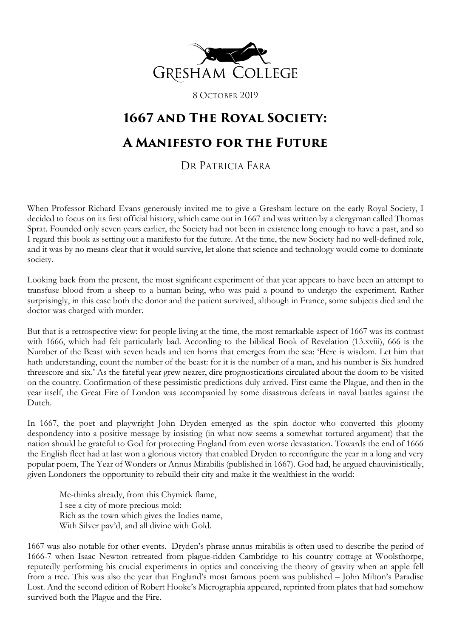

8 OCTOBER 2019

## **1667 and The Royal Society: A Manifesto for the Future**

## DR PATRICIA FARA

When Professor Richard Evans generously invited me to give a Gresham lecture on the early Royal Society, I decided to focus on its first official history, which came out in 1667 and was written by a clergyman called Thomas Sprat. Founded only seven years earlier, the Society had not been in existence long enough to have a past, and so I regard this book as setting out a manifesto for the future. At the time, the new Society had no well-defined role, and it was by no means clear that it would survive, let alone that science and technology would come to dominate society.

Looking back from the present, the most significant experiment of that year appears to have been an attempt to transfuse blood from a sheep to a human being, who was paid a pound to undergo the experiment. Rather surprisingly, in this case both the donor and the patient survived, although in France, some subjects died and the doctor was charged with murder.

But that is a retrospective view: for people living at the time, the most remarkable aspect of 1667 was its contrast with 1666, which had felt particularly bad. According to the biblical Book of Revelation (13.xviii), 666 is the Number of the Beast with seven heads and ten horns that emerges from the sea: 'Here is wisdom. Let him that hath understanding, count the number of the beast: for it is the number of a man, and his number is Six hundred threescore and six.' As the fateful year grew nearer, dire prognostications circulated about the doom to be visited on the country. Confirmation of these pessimistic predictions duly arrived. First came the Plague, and then in the year itself, the Great Fire of London was accompanied by some disastrous defeats in naval battles against the Dutch.

In 1667, the poet and playwright John Dryden emerged as the spin doctor who converted this gloomy despondency into a positive message by insisting (in what now seems a somewhat tortured argument) that the nation should be grateful to God for protecting England from even worse devastation. Towards the end of 1666 the English fleet had at last won a glorious victory that enabled Dryden to reconfigure the year in a long and very popular poem, The Year of Wonders or Annus Mirabilis (published in 1667). God had, he argued chauvinistically, given Londoners the opportunity to rebuild their city and make it the wealthiest in the world:

Me-thinks already, from this Chymick flame, I see a city of more precious mold: Rich as the town which gives the Indies name, With Silver pav'd, and all divine with Gold.

1667 was also notable for other events. Dryden's phrase annus mirabilis is often used to describe the period of 1666-7 when Isaac Newton retreated from plague-ridden Cambridge to his country cottage at Woolsthorpe, reputedly performing his crucial experiments in optics and conceiving the theory of gravity when an apple fell from a tree. This was also the year that England's most famous poem was published – John Milton's Paradise Lost. And the second edition of Robert Hooke's Micrographia appeared, reprinted from plates that had somehow survived both the Plague and the Fire.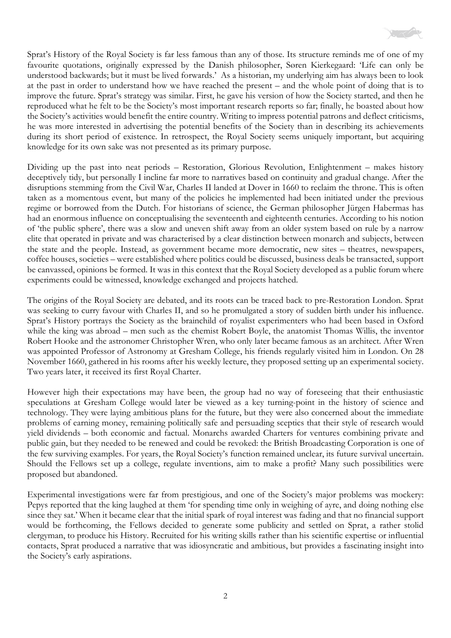

Sprat's History of the Royal Society is far less famous than any of those. Its structure reminds me of one of my favourite quotations, originally expressed by the Danish philosopher, Søren Kierkegaard: 'Life can only be understood backwards; but it must be lived forwards.' As a historian, my underlying aim has always been to look at the past in order to understand how we have reached the present – and the whole point of doing that is to improve the future. Sprat's strategy was similar. First, he gave his version of how the Society started, and then he reproduced what he felt to be the Society's most important research reports so far; finally, he boasted about how the Society's activities would benefit the entire country. Writing to impress potential patrons and deflect criticisms, he was more interested in advertising the potential benefits of the Society than in describing its achievements during its short period of existence. In retrospect, the Royal Society seems uniquely important, but acquiring knowledge for its own sake was not presented as its primary purpose.

Dividing up the past into neat periods – Restoration, Glorious Revolution, Enlightenment – makes history deceptively tidy, but personally I incline far more to narratives based on continuity and gradual change. After the disruptions stemming from the Civil War, Charles II landed at Dover in 1660 to reclaim the throne. This is often taken as a momentous event, but many of the policies he implemented had been initiated under the previous regime or borrowed from the Dutch. For historians of science, the German philosopher Jürgen Habermas has had an enormous influence on conceptualising the seventeenth and eighteenth centuries. According to his notion of 'the public sphere', there was a slow and uneven shift away from an older system based on rule by a narrow elite that operated in private and was characterised by a clear distinction between monarch and subjects, between the state and the people. Instead, as government became more democratic, new sites – theatres, newspapers, coffee houses, societies – were established where politics could be discussed, business deals be transacted, support be canvassed, opinions be formed. It was in this context that the Royal Society developed as a public forum where experiments could be witnessed, knowledge exchanged and projects hatched.

The origins of the Royal Society are debated, and its roots can be traced back to pre-Restoration London. Sprat was seeking to curry favour with Charles II, and so he promulgated a story of sudden birth under his influence. Sprat's History portrays the Society as the brainchild of royalist experimenters who had been based in Oxford while the king was abroad – men such as the chemist Robert Boyle, the anatomist Thomas Willis, the inventor Robert Hooke and the astronomer Christopher Wren, who only later became famous as an architect. After Wren was appointed Professor of Astronomy at Gresham College, his friends regularly visited him in London. On 28 November 1660, gathered in his rooms after his weekly lecture, they proposed setting up an experimental society. Two years later, it received its first Royal Charter.

However high their expectations may have been, the group had no way of foreseeing that their enthusiastic speculations at Gresham College would later be viewed as a key turning-point in the history of science and technology. They were laying ambitious plans for the future, but they were also concerned about the immediate problems of earning money, remaining politically safe and persuading sceptics that their style of research would yield dividends – both economic and factual. Monarchs awarded Charters for ventures combining private and public gain, but they needed to be renewed and could be revoked: the British Broadcasting Corporation is one of the few surviving examples. For years, the Royal Society's function remained unclear, its future survival uncertain. Should the Fellows set up a college, regulate inventions, aim to make a profit? Many such possibilities were proposed but abandoned.

Experimental investigations were far from prestigious, and one of the Society's major problems was mockery: Pepys reported that the king laughed at them 'for spending time only in weighing of ayre, and doing nothing else since they sat.' When it became clear that the initial spark of royal interest was fading and that no financial support would be forthcoming, the Fellows decided to generate some publicity and settled on Sprat, a rather stolid clergyman, to produce his History. Recruited for his writing skills rather than his scientific expertise or influential contacts, Sprat produced a narrative that was idiosyncratic and ambitious, but provides a fascinating insight into the Society's early aspirations.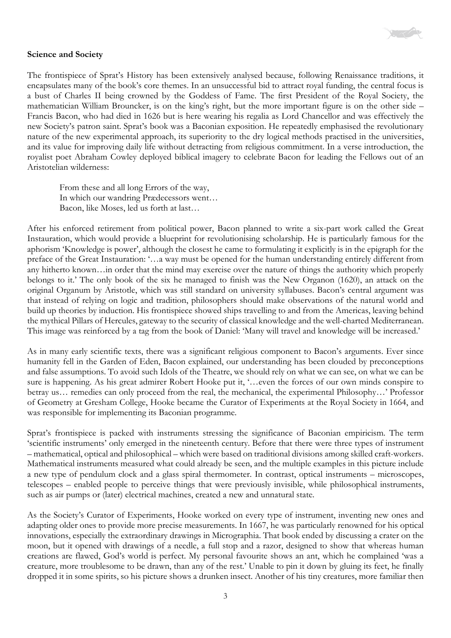

## **Science and Society**

The frontispiece of Sprat's History has been extensively analysed because, following Renaissance traditions, it encapsulates many of the book's core themes. In an unsuccessful bid to attract royal funding, the central focus is a bust of Charles II being crowned by the Goddess of Fame. The first President of the Royal Society, the mathematician William Brouncker, is on the king's right, but the more important figure is on the other side – Francis Bacon, who had died in 1626 but is here wearing his regalia as Lord Chancellor and was effectively the new Society's patron saint. Sprat's book was a Baconian exposition. He repeatedly emphasised the revolutionary nature of the new experimental approach, its superiority to the dry logical methods practised in the universities, and its value for improving daily life without detracting from religious commitment. In a verse introduction, the royalist poet Abraham Cowley deployed biblical imagery to celebrate Bacon for leading the Fellows out of an Aristotelian wilderness:

From these and all long Errors of the way, In which our wandring Prædecessors went… Bacon, like Moses, led us forth at last…

After his enforced retirement from political power, Bacon planned to write a six-part work called the Great Instauration, which would provide a blueprint for revolutionising scholarship. He is particularly famous for the aphorism 'Knowledge is power', although the closest he came to formulating it explicitly is in the epigraph for the preface of the Great Instauration: '…a way must be opened for the human understanding entirely different from any hitherto known…in order that the mind may exercise over the nature of things the authority which properly belongs to it.' The only book of the six he managed to finish was the New Organon (1620), an attack on the original Organum by Aristotle, which was still standard on university syllabuses. Bacon's central argument was that instead of relying on logic and tradition, philosophers should make observations of the natural world and build up theories by induction. His frontispiece showed ships travelling to and from the Americas, leaving behind the mythical Pillars of Hercules, gateway to the security of classical knowledge and the well-charted Mediterranean. This image was reinforced by a tag from the book of Daniel: 'Many will travel and knowledge will be increased.'

As in many early scientific texts, there was a significant religious component to Bacon's arguments. Ever since humanity fell in the Garden of Eden, Bacon explained, our understanding has been clouded by preconceptions and false assumptions. To avoid such Idols of the Theatre, we should rely on what we can see, on what we can be sure is happening. As his great admirer Robert Hooke put it, '…even the forces of our own minds conspire to betray us… remedies can only proceed from the real, the mechanical, the experimental Philosophy…' Professor of Geometry at Gresham College, Hooke became the Curator of Experiments at the Royal Society in 1664, and was responsible for implementing its Baconian programme.

Sprat's frontispiece is packed with instruments stressing the significance of Baconian empiricism. The term 'scientific instruments' only emerged in the nineteenth century. Before that there were three types of instrument – mathematical, optical and philosophical – which were based on traditional divisions among skilled craft-workers. Mathematical instruments measured what could already be seen, and the multiple examples in this picture include a new type of pendulum clock and a glass spiral thermometer. In contrast, optical instruments – microscopes, telescopes – enabled people to perceive things that were previously invisible, while philosophical instruments, such as air pumps or (later) electrical machines, created a new and unnatural state.

As the Society's Curator of Experiments, Hooke worked on every type of instrument, inventing new ones and adapting older ones to provide more precise measurements. In 1667, he was particularly renowned for his optical innovations, especially the extraordinary drawings in Micrographia. That book ended by discussing a crater on the moon, but it opened with drawings of a needle, a full stop and a razor, designed to show that whereas human creations are flawed, God's world is perfect. My personal favourite shows an ant, which he complained 'was a creature, more troublesome to be drawn, than any of the rest.' Unable to pin it down by gluing its feet, he finally dropped it in some spirits, so his picture shows a drunken insect. Another of his tiny creatures, more familiar then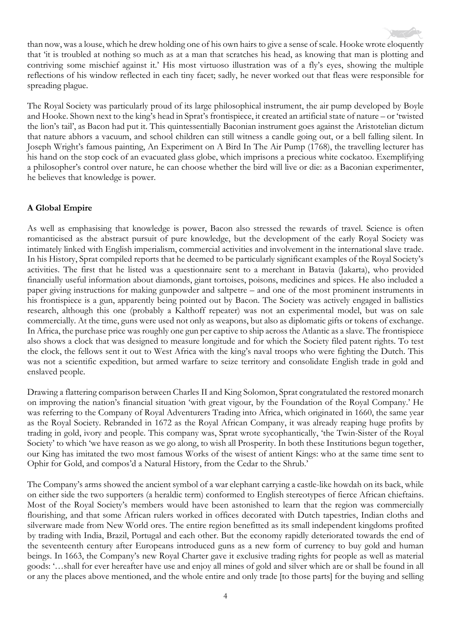than now, was a louse, which he drew holding one of his own hairs to give a sense of scale. Hooke wrote eloquently that 'it is troubled at nothing so much as at a man that scratches his head, as knowing that man is plotting and contriving some mischief against it.' His most virtuoso illustration was of a fly's eyes, showing the multiple reflections of his window reflected in each tiny facet; sadly, he never worked out that fleas were responsible for spreading plague.

The Royal Society was particularly proud of its large philosophical instrument, the air pump developed by Boyle and Hooke. Shown next to the king's head in Sprat's frontispiece, it created an artificial state of nature – or 'twisted the lion's tail', as Bacon had put it. This quintessentially Baconian instrument goes against the Aristotelian dictum that nature abhors a vacuum, and school children can still witness a candle going out, or a bell falling silent. In Joseph Wright's famous painting, An Experiment on A Bird In The Air Pump (1768), the travelling lecturer has his hand on the stop cock of an evacuated glass globe, which imprisons a precious white cockatoo. Exemplifying a philosopher's control over nature, he can choose whether the bird will live or die: as a Baconian experimenter, he believes that knowledge is power.

## **A Global Empire**

As well as emphasising that knowledge is power, Bacon also stressed the rewards of travel. Science is often romanticised as the abstract pursuit of pure knowledge, but the development of the early Royal Society was intimately linked with English imperialism, commercial activities and involvement in the international slave trade. In his History, Sprat compiled reports that he deemed to be particularly significant examples of the Royal Society's activities. The first that he listed was a questionnaire sent to a merchant in Batavia (Jakarta), who provided financially useful information about diamonds, giant tortoises, poisons, medicines and spices. He also included a paper giving instructions for making gunpowder and saltpetre – and one of the most prominent instruments in his frontispiece is a gun, apparently being pointed out by Bacon. The Society was actively engaged in ballistics research, although this one (probably a Kalthoff repeater) was not an experimental model, but was on sale commercially. At the time, guns were used not only as weapons, but also as diplomatic gifts or tokens of exchange. In Africa, the purchase price was roughly one gun per captive to ship across the Atlantic as a slave. The frontispiece also shows a clock that was designed to measure longitude and for which the Society filed patent rights. To test the clock, the fellows sent it out to West Africa with the king's naval troops who were fighting the Dutch. This was not a scientific expedition, but armed warfare to seize territory and consolidate English trade in gold and enslaved people.

Drawing a flattering comparison between Charles II and King Solomon, Sprat congratulated the restored monarch on improving the nation's financial situation 'with great vigour, by the Foundation of the Royal Company.' He was referring to the Company of Royal Adventurers Trading into Africa, which originated in 1660, the same year as the Royal Society. Rebranded in 1672 as the Royal African Company, it was already reaping huge profits by trading in gold, ivory and people. This company was, Sprat wrote sycophantically, 'the Twin-Sister of the Royal Society' to which 'we have reason as we go along, to wish all Prosperity. In both these Institutions begun together, our King has imitated the two most famous Works of the wisest of antient Kings: who at the same time sent to Ophir for Gold, and compos'd a Natural History, from the Cedar to the Shrub.'

The Company's arms showed the ancient symbol of a war elephant carrying a castle-like howdah on its back, while on either side the two supporters (a heraldic term) conformed to English stereotypes of fierce African chieftains. Most of the Royal Society's members would have been astonished to learn that the region was commercially flourishing, and that some African rulers worked in offices decorated with Dutch tapestries, Indian cloths and silverware made from New World ores. The entire region benefitted as its small independent kingdoms profited by trading with India, Brazil, Portugal and each other. But the economy rapidly deteriorated towards the end of the seventeenth century after Europeans introduced guns as a new form of currency to buy gold and human beings. In 1663, the Company's new Royal Charter gave it exclusive trading rights for people as well as material goods: '…shall for ever hereafter have use and enjoy all mines of gold and silver which are or shall be found in all or any the places above mentioned, and the whole entire and only trade [to those parts] for the buying and selling